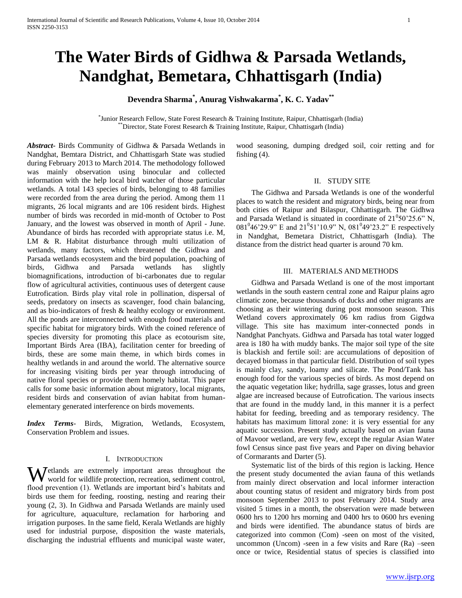# **The Water Birds of Gidhwa & Parsada Wetlands, Nandghat, Bemetara, Chhattisgarh (India)**

# **Devendra Sharma\* , Anurag Vishwakarma\* , K. C. Yadav\*\***

\* Junior Research Fellow, State Forest Research & Training Institute, Raipur, Chhattisgarh (India) \*\*Director, State Forest Research & Training Institute, Raipur, Chhattisgarh (India)

*Abstract***-** Birds Community of Gidhwa & Parsada Wetlands in Nandghat, Bemtara District, and Chhattisgarh State was studied during February 2013 to March 2014. The methodology followed was mainly observation using binocular and collected information with the help local bird watcher of those particular wetlands. A total 143 species of birds, belonging to 48 families were recorded from the area during the period. Among them 11 migrants, 26 local migrants and are 106 resident birds. Highest number of birds was recorded in mid-month of October to Post January, and the lowest was observed in month of April - June. Abundance of birds has recorded with appropriate status i.e. M, LM & R. Habitat disturbance through multi utilization of wetlands, many factors, which threatened the Gidhwa and Parsada wetlands ecosystem and the bird population, poaching of birds, Gidhwa and Parsada wetlands has slightly biomagnifications, introduction of bi-carbonates due to regular flow of agricultural activities, continuous uses of detergent cause Eutrofication. Birds play vital role in pollination, dispersal of seeds, predatory on insects as scavenger, food chain balancing, and as bio-indicators of fresh & healthy ecology or environment. All the ponds are interconnected with enough food materials and specific habitat for migratory birds. With the coined reference of species diversity for promoting this place as ecotourism site, Important Birds Area (IBA), facilitation center for breeding of birds, these are some main theme, in which birds comes in healthy wetlands in and around the world. The alternative source for increasing visiting birds per year through introducing of native floral species or provide them homely habitat. This paper calls for some basic information about migratory, local migrants, resident birds and conservation of avian habitat from humanelementary generated interference on birds movements.

*Index Terms*- Birds, Migration, Wetlands, Ecosystem, Conservation Problem and issues.

#### I. INTRODUCTION

etlands are extremely important areas throughout the Wetlands are extremely important areas throughout the world for wildlife protection, recreation, sediment control, flood prevention (1). Wetlands are important bird's habitats and birds use them for feeding, roosting, nesting and rearing their young (2, 3). In Gidhwa and Parsada Wetlands are mainly used for agriculture, aquaculture, reclamation for harboring and irrigation purposes. In the same field, Kerala Wetlands are highly used for industrial purpose, disposition the waste materials, discharging the industrial effluents and municipal waste water,

wood seasoning, dumping dredged soil, coir retting and for fishing (4).

#### II. STUDY SITE

 The Gidhwa and Parsada Wetlands is one of the wonderful places to watch the resident and migratory birds, being near from both cities of Raipur and Bilaspur, Chhattisgarh. The Gidhwa and Parsada Wetland is situated in coordinate of  $21^050^{\prime}25.6^{\prime\prime}$  N, 081<sup>0</sup>46'29.9" E and 21<sup>0</sup>51'10.9" N, 081<sup>0</sup>49'23.2" E respectively in Nandghat, Bemetara District, Chhattisgarh (India). The distance from the district head quarter is around 70 km.

## III. MATERIALS AND METHODS

 Gidhwa and Parsada Wetland is one of the most important wetlands in the south eastern central zone and Raipur plains agro climatic zone, because thousands of ducks and other migrants are choosing as their wintering during post monsoon season. This Wetland covers approximately 06 km radius from Gigdwa village. This site has maximum inter-connected ponds in Nandghat Panchyats. Gidhwa and Parsada has total water logged area is 180 ha with muddy banks. The major soil type of the site is blackish and fertile soil: are accumulations of deposition of decayed biomass in that particular field. Distribution of soil types is mainly clay, sandy, loamy and silicate. The Pond/Tank has enough food for the various species of birds. As most depend on the aquatic vegetation like; hydrilla, sage grasses, lotus and green algae are increased because of Eutrofication. The various insects that are found in the muddy land, in this manner it is a perfect habitat for feeding, breeding and as temporary residency. The habitats has maximum littoral zone: it is very essential for any aquatic succession. Present study actually based on avian fauna of Mavoor wetland, are very few, except the regular Asian Water fowl Census since past five years and Paper on diving behavior of Cormarants and Darter (5).

 Systematic list of the birds of this region is lacking. Hence the present study documented the avian fauna of this wetlands from mainly direct observation and local informer interaction about counting status of resident and migratory birds from post monsoon September 2013 to post February 2014. Study area visited 5 times in a month, the observation were made between 0600 hrs to 1200 hrs morning and 0400 hrs to 0600 hrs evening and birds were identified. The abundance status of birds are categorized into common (Com) -seen on most of the visited, uncommon (Uncom) -seen in a few visits and Rare (Ra) –seen once or twice, Residential status of species is classified into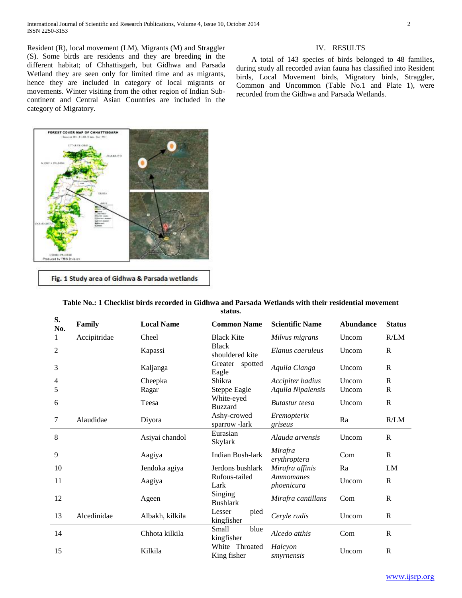Resident (R), local movement (LM), Migrants (M) and Straggler (S). Some birds are residents and they are breeding in the different habitat; of Chhattisgarh, but Gidhwa and Parsada Wetland they are seen only for limited time and as migrants, hence they are included in category of local migrants or movements. Winter visiting from the other region of Indian Subcontinent and Central Asian Countries are included in the

category of Migratory.

## IV. RESULTS

 A total of 143 species of birds belonged to 48 families, during study all recorded avian fauna has classified into Resident birds, Local Movement birds, Migratory birds, Straggler, Common and Uncommon (Table No.1 and Plate 1), were recorded from the Gidhwa and Parsada Wetlands.



Fig. 1 Study area of Gidhwa & Parsada wetlands

| S.<br>No.      | Family       | <b>Local Name</b> | <b>Common Name</b>               | <b>Scientific Name</b>  | <b>Abundance</b> | <b>Status</b> |
|----------------|--------------|-------------------|----------------------------------|-------------------------|------------------|---------------|
| $\mathbf{1}$   | Accipitridae | Cheel             | <b>Black Kite</b>                | Milvus migrans          | Uncom            | R/LM          |
| $\overline{c}$ |              | Kapassi           | <b>Black</b><br>shouldered kite  | Elanus caeruleus        | Uncom            | R             |
| 3              |              | Kaljanga          | Greater<br>spotted<br>Eagle      | Aquila Clanga           | Uncom            | R             |
| 4              |              | Cheepka           | Shikra                           | Accipiter badius        | Uncom            | $\mathbf R$   |
| 5              |              | Ragar             | Steppe Eagle                     | Aquila Nipalensis       | Uncom            | $\mathbb{R}$  |
| 6              |              | Teesa             | White-eyed<br><b>Buzzard</b>     | <b>Butastur</b> teesa   | Uncom            | $\mathbb{R}$  |
| 7              | Alaudidae    | Diyora            | Ashy-crowed<br>sparrow-lark      | Eremopterix<br>griseus  | Ra               | R/LM          |
| 8              |              | Asiyai chandol    | Eurasian<br>Skylark              | Alauda arvensis         | Uncom            | R             |
| 9              |              | Aagiya            | Indian Bush-lark                 | Mirafra<br>erythroptera | Com              | R             |
| 10             |              | Jendoka agiya     | Jerdons bushlark                 | Mirafra affinis         | Ra               | LM            |
| 11             |              | Aagiya            | Rufous-tailed<br>Lark            | Ammomanes<br>phoenicura | Uncom            | $\mathbb{R}$  |
| 12             |              | Ageen             | Singing<br><b>Bushlark</b>       | Mirafra cantillans      | Com              | $\mathbb{R}$  |
| 13             | Alcedinidae  | Albakh, kilkila   | Lesser<br>pied<br>kingfisher     | Ceryle rudis            | Uncom            | $\mathbb{R}$  |
| 14             |              | Chhota kilkila    | Small<br>blue<br>kingfisher      | Alcedo atthis           | Com              | $\mathbf R$   |
| 15             |              | Kilkila           | White<br>Throated<br>King fisher | Halcyon<br>smyrnensis   | Uncom            | $\mathbb{R}$  |

#### **Table No.: 1 Checklist birds recorded in Gidhwa and Parsada Wetlands with their residential movement status.**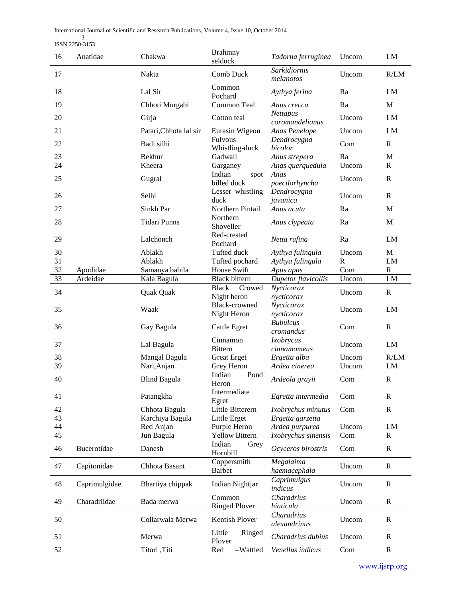International Journal of Scientific and Research Publications, Volume 4, Issue 10, October 2014

3 ISSN 2250-3153

| 16       | Anatidae      | Chakwa                       | <b>Brahmny</b><br>selduck             | Tadorna ferruginea                      | Uncom              | LM              |
|----------|---------------|------------------------------|---------------------------------------|-----------------------------------------|--------------------|-----------------|
| 17       |               | Nakta                        | Comb Duck                             | Sarkidiornis<br>melanotos               | Uncom              | R/LM            |
| 18       |               | Lal Sir                      | Common<br>Pochard                     | Aythya ferina                           | Ra                 | LM              |
| 19       |               | Chhoti Murgabi               | Common Teal                           | Anus crecca                             | Ra                 | M               |
| 20       |               | Girja                        | Cotton teal                           | <b>Nettapus</b><br>coromandelianus      | Uncom              | LM              |
| 21       |               | Patari, Chhota lal sir       | Eurasin Wigeon                        | Anas Penelope                           | Uncom              | LM              |
| 22       |               | Badi silhi                   | Fulvous<br>Whistling-duck             | Dendrocygna<br>bicolor                  | Com                | $\mathbb{R}$    |
| 23       |               | <b>Bekhur</b>                | Gadwall                               | Anus strepera                           | Ra                 | $\mathbf M$     |
| 24       |               | Kheera                       | Garganey<br>Indian<br>spot            | Anas querquedula<br>Anas                | Uncom              | R               |
| 25       |               | Gugral                       | billed duck                           | poecilorhyncha                          | Uncom              | $\mathbf R$     |
| 26       |               | Selhi                        | Lesser whistling<br>duck              | Dendrocygna<br>javanica                 | Uncom              | $\mathbf R$     |
| 27       |               | Sinkh Par                    | Northern Pintail                      | Anus acuta                              | Ra                 | M               |
| 28       |               | Tidari Punna                 | Northern<br>Shoveller                 | Anus clypeata                           | Ra                 | M               |
| 29       |               | Lalchonch                    | Red-crested<br>Pochard                | Netta rufina                            | Ra                 | LM              |
| 30       |               | Ablakh                       | Tufted duck                           | Aythya fulingula                        | Uncom              | M               |
| 31<br>32 | Apodidae      | Ablakh<br>Samanya babila     | Tufted pochard<br>House Swift         | Aythya fulingula<br>Apus apus           | $\mathbf R$<br>Com | LM<br>${\bf R}$ |
| 33       | Ardeidae      | Kala Bagula                  | <b>Black bittern</b>                  | Dupetor flavicollis                     | Uncom              | ${\rm LM}$      |
| 34       |               | Quak Quak                    | <b>Black</b><br>Crowed<br>Night heron | Nycticorax<br>nycticorax                | Uncom              | $\mathbf R$     |
| 35       |               | Waak                         | <b>Black-crowned</b><br>Night Heron   | Nycticorax<br>nycticorax                | Uncom              | LM              |
| 36       |               | Gay Bagula                   | <b>Cattle Egret</b>                   | <b>Bubulcus</b><br>cromandus            | Com                | $\mathbb{R}$    |
| 37       |               | Lal Bagula                   | Cinnamon<br><b>Bittern</b>            | <i>Ixobrycus</i><br>cinnamomeus         | Uncom              | LM              |
| 38       |               | Mangal Bagula                | <b>Great Erget</b>                    | Ergetta alba                            | Uncom              | R/LM            |
| 39       |               | Nari, Anjan                  | Grey Heron                            | Ardea cinerea                           | Uncom              | LM              |
| 40       |               | <b>Blind Bagula</b>          | Indian<br>Pond<br>Heron               | Ardeola grayii                          | Com                | $\mathbb{R}$    |
| 41       |               | Patangkha                    | Intermediate<br>Egret                 | Egretta intermedia                      | Com                | $\mathbb{R}$    |
| 42       |               | Chhota Bagula                | Little Bitterern                      | Ixobrychus minutus                      | Com                | $\mathbb{R}$    |
| 43<br>44 |               | Karchiya Bagula<br>Red Anjan | Little Erget<br>Purple Heron          | Ergetta garzetta<br>Ardea purpurea      | Uncom              | LM              |
| 45       |               | Jun Bagula                   | <b>Yellow Bittern</b>                 | Ixobrychus sinensis                     | Com                | $\mathbb{R}$    |
| 46       | Bucerotidae   | Danesh                       | Indian<br>Grey<br>Hornbill            | Ocyceros birostris                      | Com                | $\mathbb{R}$    |
| 47       | Capitonidae   | Chhota Basant                | Coppersmith<br><b>Barbet</b>          | Megalaima<br>haemacephala               | Uncom              | $\mathbb{R}$    |
| 48       | Caprimulgidae | Bhartiya chippak             | Indian Nightjar                       | Caprimulgus<br>indicus                  | Uncom              | $\mathbb{R}$    |
| 49       | Charadriidae  | Bada merwa                   | Common<br><b>Ringed Plover</b>        | Charadrius<br>hiaticula                 | Uncom              | $\mathbb{R}$    |
| 50       |               | Collarwala Merwa             | Kentish Plover                        | $\overline{Charadrius}$<br>alexandrinus | Uncom              | $\mathbf R$     |
| 51       |               | Merwa                        | Little<br>Ringed<br>Plover            | Charadrius dubius                       | Uncom              | $\mathbb{R}$    |
| 52       |               | Titori, Titi                 | Red<br>-Wattled                       | Venellus indicus                        | Com                | $\mathbf R$     |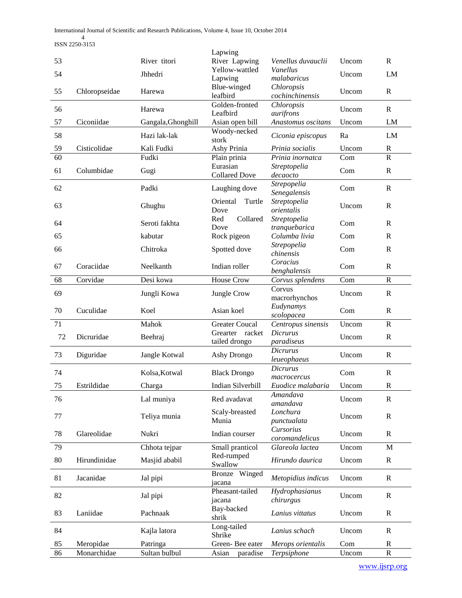International Journal of Scientific and Research Publications, Volume 4, Issue 10, October 2014

4 ISSN 2250-3153

|                 |               |                    | Lapwing                         |                                   |       |                |
|-----------------|---------------|--------------------|---------------------------------|-----------------------------------|-------|----------------|
| 53              |               | River titori       | River Lapwing                   | Venellus duvauclii                | Uncom | $\mathbb{R}$   |
| 54              |               | Jhhedri            | Yellow-wattled                  | Vanellus<br>malabaricus           | Uncom | LM             |
|                 |               |                    | Lapwing<br>Blue-winged          | Chloropsis                        |       |                |
| 55              | Chloropseidae | Harewa             | leafbird                        | cochinchinensis                   | Uncom | $\mathbb{R}$   |
| 56              |               | Harewa             | Golden-fronted                  | Chloropsis                        | Uncom | ${\bf R}$      |
|                 |               |                    | Leafbird                        | aurifrons                         |       |                |
| 57              | Ciconiidae    | Gangala, Ghonghill | Asian open bill<br>Woody-necked | Anastomus oscitans                | Uncom | LM             |
| 58              |               | Hazi lak-lak       | stork                           | Ciconia episcopus                 | Ra    | LM             |
| 59              | Cisticolidae  | Kali Fudki         | Ashy Prinia                     | Prinia socialis                   | Uncom | $\mathbf R$    |
| $\overline{60}$ |               | Fudki              | Plain prinia                    | Prinia inornatca                  | Com   | $\overline{R}$ |
| 61              | Columbidae    | Gugi               | Eurasian                        | Streptopelia                      | Com   | $\mathbb{R}$   |
|                 |               |                    | <b>Collared Dove</b>            | decaocto<br>Strepopelia           |       |                |
| 62              |               | Padki              | Laughing dove                   | Senegalensis                      | Com   | $\mathbb{R}$   |
| 63              |               |                    | Oriental<br>Turtle              | Streptopelia                      | Uncom | $\mathbb{R}$   |
|                 |               | Ghughu             | Dove                            | orientalis                        |       |                |
| 64              |               | Seroti fakhta      | Red<br>Collared                 | Streptopelia                      | Com   | $\mathbb{R}$   |
| 65              |               | kabutar            | Dove<br>Rock pigeon             | tranquebarica<br>Columba livia    | Com   | $\mathbb{R}$   |
|                 |               |                    |                                 | Strepopelia                       |       |                |
| 66              |               | Chitroka           | Spotted dove                    | chinensis                         | Com   | $\mathbb{R}$   |
| 67              | Coraciidae    | Neelkanth          | Indian roller                   | Coracius                          | Com   | $\mathbb{R}$   |
| 68              | Corvidae      | Desi kowa          | House Crow                      | benghalensis<br>Corvus splendens  | Com   | $\mathbf R$    |
|                 |               |                    |                                 | Corvus                            |       |                |
| 69              |               | Jungli Kowa        | Jungle Crow                     | macrorhynchos                     | Uncom | $\mathbb{R}$   |
| 70              | Cuculidae     | Koel               | Asian koel                      | Eudynamys                         | Com   | $\mathbf R$    |
|                 |               |                    |                                 | scolopacea                        |       |                |
| 71              |               | Mahok              | <b>Greater Coucal</b>           | Centropus sinensis                | Uncom | $\mathbf R$    |
|                 |               |                    |                                 |                                   |       |                |
| 72              | Dicruridae    | Beehraj            | Grearter racket                 | <b>Dicrurus</b>                   | Uncom | $\mathbb{R}$   |
|                 |               |                    | tailed drongo                   | paradiseus<br><b>Dicrurus</b>     |       |                |
| 73              | Diguridae     | Jangle Kotwal      | Ashy Drongo                     | leueophaeus                       | Uncom | $\mathbb{R}$   |
| 74              |               | Kolsa, Kotwal      | <b>Black Drongo</b>             | Dicrurus                          | Com   | $\mathbf R$    |
|                 |               |                    |                                 | macrocercus                       |       |                |
| 75              | Estrildidae   | Charga             | Indian Silverbill               | Euodice malabaria<br>Amandava     | Uncom | $\mathbf R$    |
| 76              |               | Lal muniya         | Red avadavat                    | amandava                          | Uncom | $\mathbb{R}$   |
| 77              |               |                    | Scaly-breasted                  | Lonchura                          |       | $\mathbb{R}$   |
|                 |               | Teliya munia       | Munia                           | punctualata                       | Uncom |                |
| 78              | Glareolidae   | Nukri              | Indian courser                  | Cursorius                         | Uncom | $\mathbb{R}$   |
| 79              |               | Chhota tejpar      | Small pranticol                 | coromandelicus<br>Glareola lactea | Uncom | M              |
|                 |               |                    | Red-rumped                      |                                   |       |                |
| 80              | Hirundinidae  | Masjid ababil      | Swallow                         | Hirundo daurica                   | Uncom | $\mathbf R$    |
| 81              | Jacanidae     | Jal pipi           | Winged<br><b>Bronze</b>         | Metopidius indicus                | Uncom | $\mathbb{R}$   |
|                 |               |                    | jacana<br>Pheasant-tailed       |                                   |       |                |
| 82              |               | Jal pipi           | jacana                          | Hydrophasianus<br>chirurgus       | Uncom | ${\bf R}$      |
|                 |               |                    | Bay-backed                      |                                   |       |                |
| 83              | Laniidae      | Pachnaak           | shrik                           | Lanius vittatus                   | Uncom | $\mathbf R$    |
| 84              |               | Kajla latora       | Long-tailed                     | Lanius schach                     | Uncom | $\mathbb{R}$   |
| 85              | Meropidae     | Patringa           | Shrike<br>Green-Bee eater       | Merops orientalis                 | Com   | $\mathbf R$    |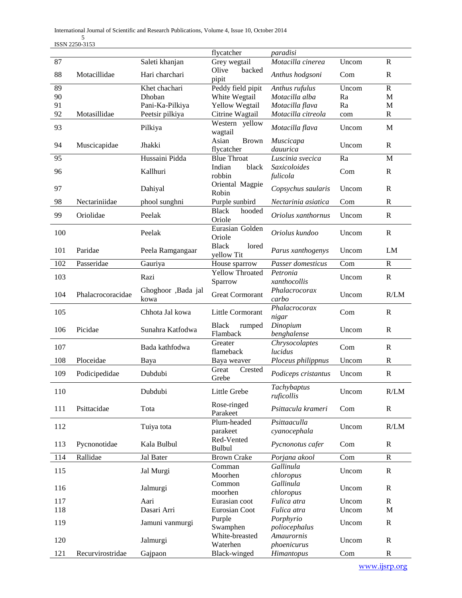International Journal of Scientific and Research Publications, Volume 4, Issue 10, October 2014

5 ISSN 2250-3153

|     |                   |                             | flycatcher                          | paradisi                         |       |              |
|-----|-------------------|-----------------------------|-------------------------------------|----------------------------------|-------|--------------|
| 87  |                   | Saleti khanjan              | Grey wegtail                        | Motacilla cinerea                | Uncom | $\mathbb{R}$ |
| 88  | Motacillidae      | Hari charchari              | backed<br>Olive<br>pipit            | Anthus hodgsoni                  | Com   | $\mathbf R$  |
| 89  |                   | Khet chachari               | Peddy field pipit                   | Anthus rufulus                   | Uncom | ${\bf R}$    |
| 90  |                   | Dhoban                      | White Wegtail                       | Motacilla alba                   | Ra    | $\mathbf M$  |
| 91  |                   | Pani-Ka-Pilkiya             | Yellow Wegtail                      | Motacilla flava                  | Ra    | $\mathbf M$  |
| 92  | Motasillidae      | Peetsir pilkiya             | Citrine Wagtail                     | Motacilla citreola               | com   | $\mathbb{R}$ |
| 93  |                   | Pilkiya                     | Western yellow<br>wagtail           | Motacilla flava                  | Uncom | $\mathbf M$  |
| 94  | Muscicapidae      | Jhakki                      | Asian<br><b>Brown</b><br>flycatcher | Muscicapa<br>dauurica            | Uncom | $\mathbf R$  |
| 95  |                   | Hussaini Pidda              | <b>Blue Throat</b>                  | Luscinia svecica                 | Ra    | M            |
| 96  |                   | Kallhuri                    | Indian<br>black<br>robbin           | Saxicoloides<br>fulicola         | Com   | $\mathbb{R}$ |
| 97  |                   | Dahiyal                     | Oriental Magpie<br>Robin            | Copsychus saularis               | Uncom | $\mathbb{R}$ |
| 98  | Nectariniidae     | phool sunghni               | Purple sunbird                      | Nectarinia asiatica              | Com   | $\mathbf R$  |
| 99  | Oriolidae         | Peelak                      | <b>Black</b><br>hooded<br>Oriole    | Oriolus xanthornus               | Uncom | $\mathbb{R}$ |
| 100 |                   | Peelak                      | Eurasian Golden<br>Oriole           | Oriolus kundoo                   | Uncom | $\mathbf R$  |
| 101 | Paridae           | Peela Ramgangaar            | <b>Black</b><br>lored<br>yellow Tit | Parus xanthogenys                | Uncom | LM           |
| 102 | Passeridae        | Gauriya                     | House sparrow                       | Passer domesticus                | Com   | $\mathbf R$  |
|     |                   |                             | Yellow Throated                     | Petronia                         |       |              |
| 103 |                   | Razi<br>Ghoghoor , Bada jal | Sparrow                             | xanthocollis<br>Phalacrocorax    | Uncom | $\mathbf R$  |
| 104 | Phalacrocoracidae | kowa                        | <b>Great Cormorant</b>              | carbo                            | Uncom | R/LM         |
| 105 |                   | Chhota Jal kowa             | Little Cormorant                    | Phalacrocorax<br>nigar           | Com   | $\mathbb{R}$ |
| 106 | Picidae           | Sunahra Katfodwa            | <b>Black</b><br>rumped<br>Flamback  | Dinopium<br>benghalense          | Uncom | $\mathbb{R}$ |
| 107 |                   | Bada kathfodwa              | Greater<br>flameback                | Chrysocolaptes<br><i>lucidus</i> | Com   | $\mathbf R$  |
| 108 | Ploceidae         | Baya                        | Baya weaver                         | Ploceus philippnus               | Uncom | $\mathbb{R}$ |
| 109 | Podicipedidae     | Dubdubi                     | Great<br>Crested<br>Grebe           | Podiceps cristantus              | Uncom | $\mathbf R$  |
| 110 |                   | Dubdubi                     | Little Grebe                        | Tachybaptus<br>ruficollis        | Uncom | R/LM         |
| 111 | Psittacidae       | Tota                        | Rose-ringed<br>Parakeet             | Psittacula krameri               | Com   | $\mathbf R$  |
| 112 |                   | Tuiya tota                  | Plum-headed<br>parakeet             | Psittaaculla<br>cyanocephala     | Uncom | R/LM         |
| 113 | Pycnonotidae      | Kala Bulbul                 | Red-Vented<br><b>Bulbul</b>         | Pycnonotus cafer                 | Com   | $\mathbf R$  |
| 114 | Rallidae          | Jal Bater                   | <b>Brown Crake</b>                  | Porjana akool                    | Com   | $\mathbf R$  |
| 115 |                   | Jal Murgi                   | Comman<br>Moorhen                   | Gallinula<br>chloropus           | Uncom | $\mathbb{R}$ |
| 116 |                   | Jalmurgi                    | Common<br>moorhen                   | Gallinula<br>chloropus           | Uncom | $\mathbb{R}$ |
| 117 |                   | Aari                        | Eurasian coot                       | Fulica atra                      | Uncom | $\mathbf R$  |
| 118 |                   | Dasari Arri                 | Eurosian Coot                       | Fulica atra                      | Uncom | $\mathbf M$  |
| 119 |                   | Jamuni vanmurgi             | Purple<br>Swamphen                  | Porphyrio<br>poliocephalus       | Uncom | $\mathbf R$  |
| 120 |                   | Jalmurgi                    | White-breasted<br>Waterhen          | Amaurornis<br>phoenicurus        | Uncom | $\mathbb{R}$ |
| 121 | Recurvirostridae  | Gajpaon                     | Black-winged                        | Himantopus                       | Com   | ${\bf R}$    |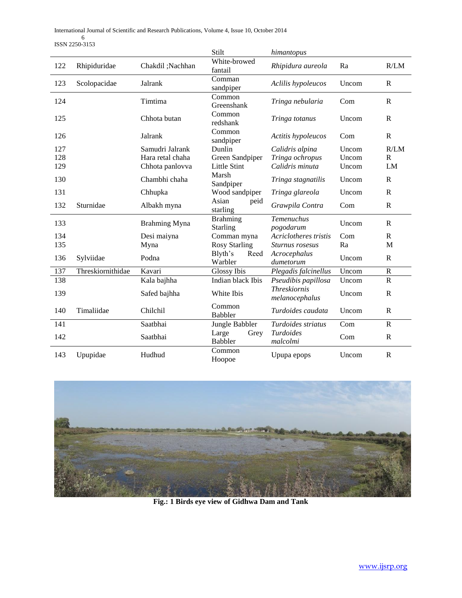International Journal of Scientific and Research Publications, Volume 4, Issue 10, October 2014 6 ISSN 2250-3153

|     |                   |                      | Stilt                           | himantopus                            |       |                       |
|-----|-------------------|----------------------|---------------------------------|---------------------------------------|-------|-----------------------|
| 122 | Rhipiduridae      | Chakdil ;Nachhan     | White-browed<br>fantail         | Rhipidura aureola                     | Ra    | R/LM                  |
| 123 | Scolopacidae      | Jalrank              | Comman<br>sandpiper             | Aclilis hypoleucos                    | Uncom | $\mathbb{R}$          |
| 124 |                   | Timtima              | Common<br>Greenshank            | Tringa nebularia                      | Com   | $\mathbb{R}$          |
| 125 |                   | Chhota butan         | Common<br>redshank              | Tringa totanus                        | Uncom | $\mathbf{R}$          |
| 126 |                   | Jalrank              | Common<br>sandpiper             | Actitis hypoleucos                    | Com   | $\mathbf R$           |
| 127 |                   | Samudri Jalrank      | Dunlin                          | Calidris alpina                       | Uncom | R/LM                  |
| 128 |                   | Hara retal chaha     | Green Sandpiper                 | Tringa ochropus                       | Uncom | $\mathbb{R}$          |
| 129 |                   | Chhota panlovva      | <b>Little Stint</b>             | Calidris minuta                       | Uncom | LM                    |
| 130 |                   | Chambhi chaha        | Marsh<br>Sandpiper              | Tringa stagnatilis                    | Uncom | $\mathbb{R}$          |
| 131 |                   | Chhupka              | Wood sandpiper                  | Tringa glareola                       | Uncom | $\mathbf{R}$          |
| 132 | Sturnidae         | Albakh myna          | Asian<br>peid<br>starling       | Grawpila Contra                       | Com   | $\mathbb{R}$          |
| 133 |                   | <b>Brahming Myna</b> | <b>Brahming</b><br>Starling     | Temenuchus<br>pogodarum               | Uncom | $\mathbf R$           |
| 134 |                   | Desi maiyna          | Comman myna                     | Acriclotheres tristis                 | Com   | $\mathbf R$           |
| 135 |                   | Myna                 | <b>Rosy Starling</b>            | Sturnus rosesus                       | Ra    | M                     |
| 136 | Sylviidae         | Podna                | Blyth's<br>Reed<br>Warbler      | Acrocephalus<br>dumetorum             | Uncom | ${\bf R}$             |
| 137 | Threskiornithidae | Kavari               | <b>Glossy Ibis</b>              | Plegadis falcinellus                  | Uncom | $\mathbf R$           |
| 138 |                   | Kala bajhha          | Indian black Ibis               | Pseudibis papillosa                   | Uncom | $\mathbf R$           |
| 139 |                   | Safed bajhha         | White Ibis                      | <b>Threskiornis</b><br>melanocephalus | Uncom | $\mathbb{R}$          |
| 140 | Timaliidae        | Chilchil             | Common<br><b>Babbler</b>        | Turdoides caudata                     | Uncom | $\mathbb{R}$          |
| 141 |                   | Saatbhai             | Jungle Babbler                  | Turdoides striatus                    | Com   | $\overline{\text{R}}$ |
| 142 |                   | Saatbhai             | Large<br>Grey<br><b>Babbler</b> | <i>Turdoides</i><br>malcolmi          | Com   | $\mathbb{R}$          |
| 143 | Upupidae          | Hudhud               | Common<br>Hoopoe                | Upupa epops                           | Uncom | $\mathbb{R}$          |



**Fig.: 1 Birds eye view of Gidhwa Dam and Tank**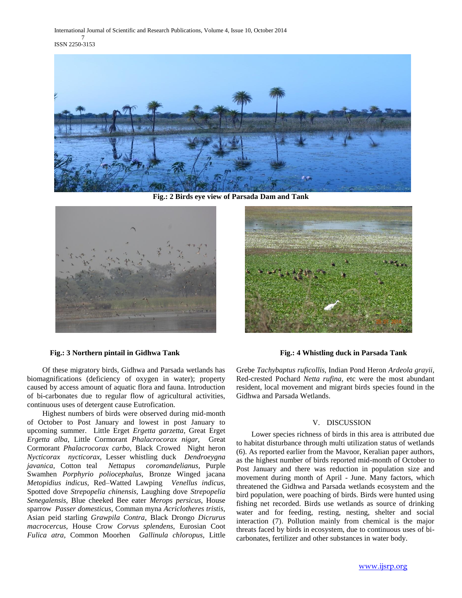International Journal of Scientific and Research Publications, Volume 4, Issue 10, October 2014 7 ISSN 2250-3153



**Fig.: 2 Birds eye view of Parsada Dam and Tank**



#### **Fig.: 3 Northern pintail in Gidhwa Tank Fig.: 4 Whistling duck in Parsada Tank**

 Of these migratory birds, Gidhwa and Parsada wetlands has biomagnifications (deficiency of oxygen in water); property caused by access amount of aquatic flora and fauna. Introduction of bi-carbonates due to regular flow of agricultural activities, continuous uses of detergent cause Eutrofication.

 Highest numbers of birds were observed during mid-month of October to Post January and lowest in post January to upcoming summer. Little Erget *Ergetta garzetta,* Great Erget *Ergetta alba,* Little Cormorant *Phalacrocorax nigar,* Great Cormorant *Phalacrocorax carbo,* Black Crowed Night heron *Nycticorax nycticorax,* Lesser whistling duck *Dendroeygna javanica,* Cotton teal *Nettapus coromandelianus,* Purple Swamhen *Porphyrio poliocephalus,* Bronze Winged jacana *Metopidius indicus,* Red–Watted Lawping *Venellus indicus,*  Spotted dove *Strepopelia chinensis,* Laughing dove *Strepopelia Senegalensis,* Blue cheeked Bee eater *Merops persicus,* House sparrow *Passer domesticus,* Comman myna *Acriclotheres tristis,*  Asian peid starling *Grawpila Contra,* Black Drongo *Dicrurus macrocercus,* House Crow *Corvus splendens,* Eurosian Coot *Fulica atra,* Common Moorhen *Gallinula chloropus,* Little



Grebe *Tachybaptus ruficollis,* Indian Pond Heron *Ardeola grayii,*  Red-crested Pochard *Netta rufina,* etc were the most abundant resident, local movement and migrant birds species found in the Gidhwa and Parsada Wetlands.

## V. DISCUSSION

 Lower species richness of birds in this area is attributed due to habitat disturbance through multi utilization status of wetlands (6). As reported earlier from the Mavoor, Keralian paper authors, as the highest number of birds reported mid-month of October to Post January and there was reduction in population size and movement during month of April - June. Many factors, which threatened the Gidhwa and Parsada wetlands ecosystem and the bird population, were poaching of birds. Birds were hunted using fishing net recorded. Birds use wetlands as source of drinking water and for feeding, resting, nesting, shelter and social interaction (7). Pollution mainly from chemical is the major threats faced by birds in ecosystem, due to continuous uses of bicarbonates, fertilizer and other substances in water body.